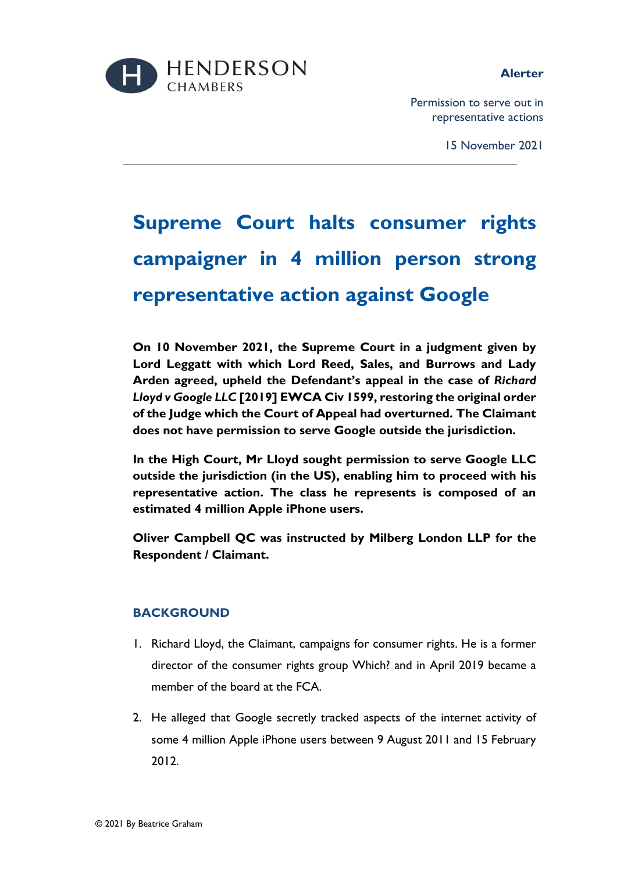



Permission to serve out in representative actions

15 November 2021

# **Supreme Court halts consumer rights campaigner in 4 million person strong representative action against Google**

**On 10 November 2021, the Supreme Court in a judgment given by Lord Leggatt with which Lord Reed, Sales, and Burrows and Lady Arden agreed, upheld the Defendant's appeal in the case of** *Richard Lloyd v Google LLC* **[2019] EWCA Civ 1599, restoring the original order of the Judge which the Court of Appeal had overturned. The Claimant does not have permission to serve Google outside the jurisdiction.** 

**In the High Court, Mr Lloyd sought permission to serve Google LLC outside the jurisdiction (in the US), enabling him to proceed with his representative action. The class he represents is composed of an estimated 4 million Apple iPhone users.** 

**Oliver Campbell QC was instructed by Milberg London LLP for the Respondent / Claimant.**

## **BACKGROUND**

- 1. Richard Lloyd, the Claimant, campaigns for consumer rights. He is a former director of the consumer rights group Which? and in April 2019 became a member of the board at the FCA.
- 2. He alleged that Google secretly tracked aspects of the internet activity of some 4 million Apple iPhone users between 9 August 2011 and 15 February 2012.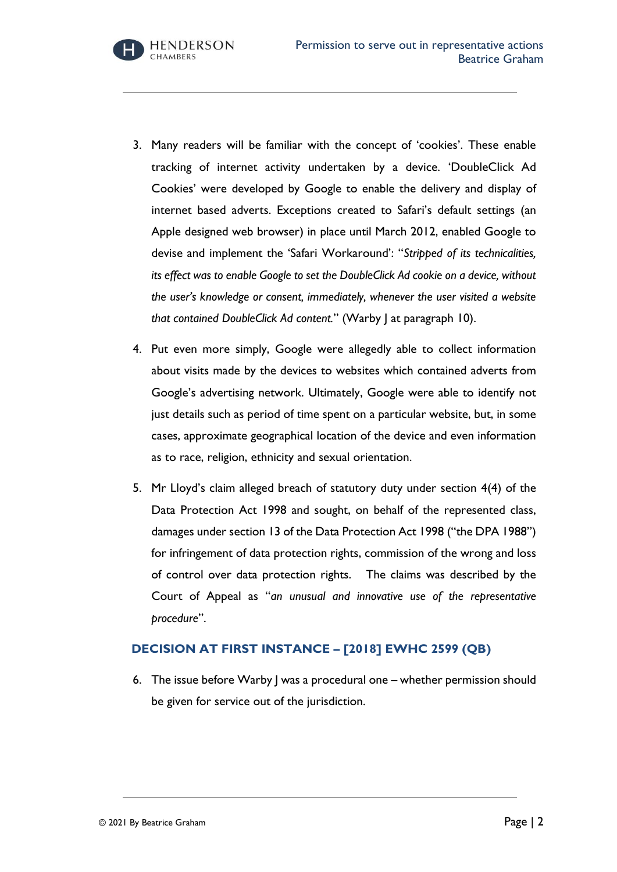- 3. Many readers will be familiar with the concept of 'cookies'. These enable tracking of internet activity undertaken by a device. 'DoubleClick Ad Cookies' were developed by Google to enable the delivery and display of internet based adverts. Exceptions created to Safari's default settings (an Apple designed web browser) in place until March 2012, enabled Google to devise and implement the 'Safari Workaround': "*Stripped of its technicalities, its effect was to enable Google to set the DoubleClick Ad cookie on a device, without the user's knowledge or consent, immediately, whenever the user visited a website that contained DoubleClick Ad content.*" (Warby J at paragraph 10).
- 4. Put even more simply, Google were allegedly able to collect information about visits made by the devices to websites which contained adverts from Google's advertising network. Ultimately, Google were able to identify not just details such as period of time spent on a particular website, but, in some cases, approximate geographical location of the device and even information as to race, religion, ethnicity and sexual orientation.
- 5. Mr Lloyd's claim alleged breach of statutory duty under section 4(4) of the Data Protection Act 1998 and sought, on behalf of the represented class, damages under section 13 of the Data Protection Act 1998 ("the DPA 1988") for infringement of data protection rights, commission of the wrong and loss of control over data protection rights. The claims was described by the Court of Appeal as "*an unusual and innovative use of the representative procedure*".

# **DECISION AT FIRST INSTANCE – [2018] EWHC 2599 (QB)**

6. The issue before Warby J was a procedural one – whether permission should be given for service out of the jurisdiction.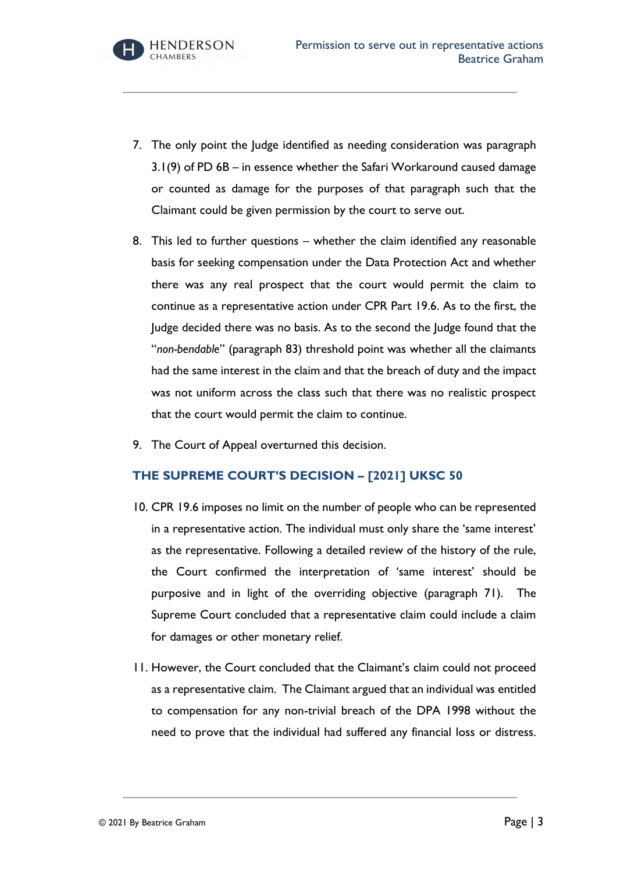

- 7. The only point the Judge identified as needing consideration was paragraph 3.1(9) of PD 6B – in essence whether the Safari Workaround caused damage or counted as damage for the purposes of that paragraph such that the Claimant could be given permission by the court to serve out.
- 8. This led to further questions whether the claim identified any reasonable basis for seeking compensation under the Data Protection Act and whether there was any real prospect that the court would permit the claim to continue as a representative action under CPR Part 19.6. As to the first, the Judge decided there was no basis. As to the second the Judge found that the "*non-bendable*" (paragraph 83) threshold point was whether all the claimants had the same interest in the claim and that the breach of duty and the impact was not uniform across the class such that there was no realistic prospect that the court would permit the claim to continue.
- 9. The Court of Appeal overturned this decision.

# **THE SUPREME COURT'S DECISION – [2021] UKSC 50**

- 10. CPR 19.6 imposes no limit on the number of people who can be represented in a representative action. The individual must only share the 'same interest' as the representative. Following a detailed review of the history of the rule, the Court confirmed the interpretation of 'same interest' should be purposive and in light of the overriding objective (paragraph 71). The Supreme Court concluded that a representative claim could include a claim for damages or other monetary relief.
- 11. However, the Court concluded that the Claimant's claim could not proceed as a representative claim. The Claimant argued that an individual was entitled to compensation for any non-trivial breach of the DPA 1998 without the need to prove that the individual had suffered any financial loss or distress.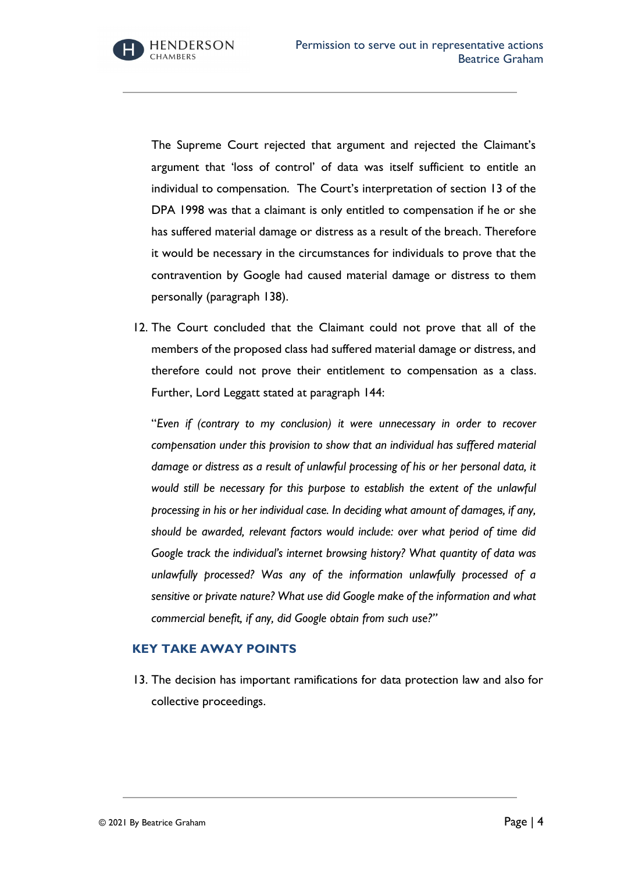**HENDERSON CHAMBERS** 

The Supreme Court rejected that argument and rejected the Claimant's argument that 'loss of control' of data was itself sufficient to entitle an individual to compensation. The Court's interpretation of section 13 of the DPA 1998 was that a claimant is only entitled to compensation if he or she has suffered material damage or distress as a result of the breach. Therefore it would be necessary in the circumstances for individuals to prove that the contravention by Google had caused material damage or distress to them personally (paragraph 138).

12. The Court concluded that the Claimant could not prove that all of the members of the proposed class had suffered material damage or distress, and therefore could not prove their entitlement to compensation as a class. Further, Lord Leggatt stated at paragraph 144:

"*Even if (contrary to my conclusion) it were unnecessary in order to recover compensation under this provision to show that an individual has suffered material damage or distress as a result of unlawful processing of his or her personal data, it would still be necessary for this purpose to establish the extent of the unlawful processing in his or her individual case. In deciding what amount of damages, if any, should be awarded, relevant factors would include: over what period of time did Google track the individual's internet browsing history? What quantity of data was unlawfully processed? Was any of the information unlawfully processed of a sensitive or private nature? What use did Google make of the information and what commercial benefit, if any, did Google obtain from such use?"*

## **KEY TAKE AWAY POINTS**

13. The decision has important ramifications for data protection law and also for collective proceedings.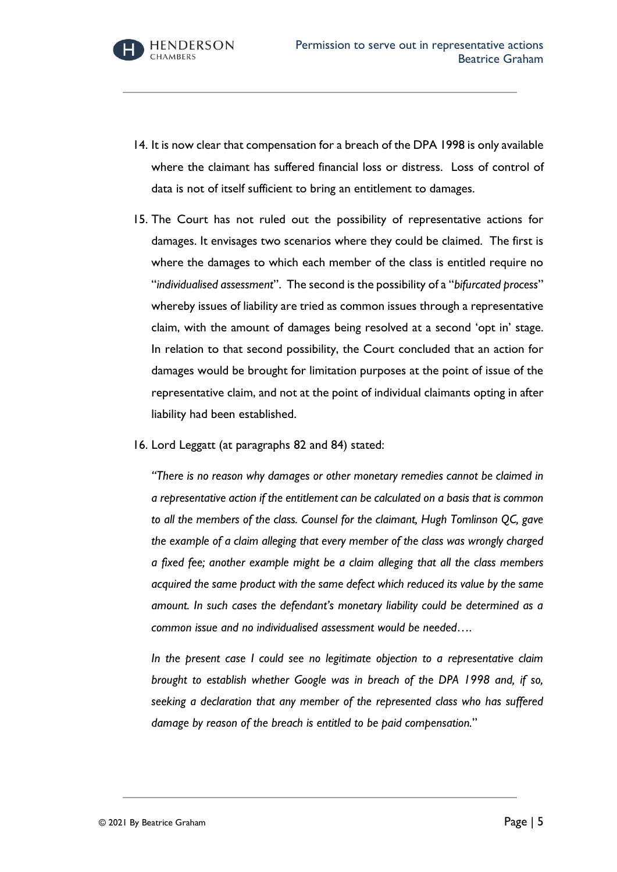- 14. It is now clear that compensation for a breach of the DPA 1998 is only available where the claimant has suffered financial loss or distress. Loss of control of data is not of itself sufficient to bring an entitlement to damages.
- 15. The Court has not ruled out the possibility of representative actions for damages. It envisages two scenarios where they could be claimed. The first is where the damages to which each member of the class is entitled require no "*individualised assessment*". The second is the possibility of a "*bifurcated process*" whereby issues of liability are tried as common issues through a representative claim, with the amount of damages being resolved at a second 'opt in' stage. In relation to that second possibility, the Court concluded that an action for damages would be brought for limitation purposes at the point of issue of the representative claim, and not at the point of individual claimants opting in after liability had been established.
- 16. Lord Leggatt (at paragraphs 82 and 84) stated:

*"There is no reason why damages or other monetary remedies cannot be claimed in a representative action if the entitlement can be calculated on a basis that is common to all the members of the class. Counsel for the claimant, Hugh Tomlinson QC, gave the example of a claim alleging that every member of the class was wrongly charged a fixed fee; another example might be a claim alleging that all the class members acquired the same product with the same defect which reduced its value by the same amount. In such cases the defendant's monetary liability could be determined as a common issue and no individualised assessment would be needed….*

*In the present case I could see no legitimate objection to a representative claim brought to establish whether Google was in breach of the DPA 1998 and, if so, seeking a declaration that any member of the represented class who has suffered damage by reason of the breach is entitled to be paid compensation.*"